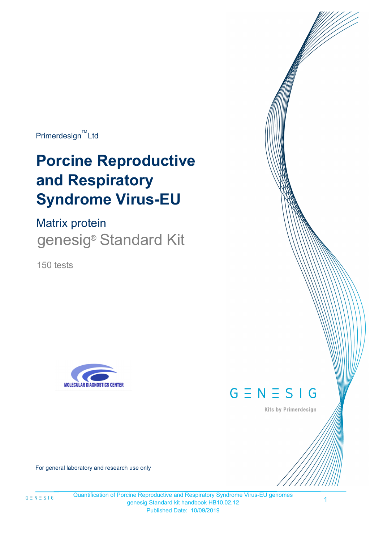$Primerdesign^{\text{TM}}$ Ltd

# **Porcine Reproductive and Respiratory Syndrome Virus-EU**

Matrix protein genesig<sup>®</sup> Standard Kit

150 tests





Kits by Primerdesign

For general laboratory and research use only

Quantification of Porcine Reproductive and Respiratory Syndrome Virus-EU genomes genesig Standard kit handbook HB10.02.12 Published Date: 10/09/2019

1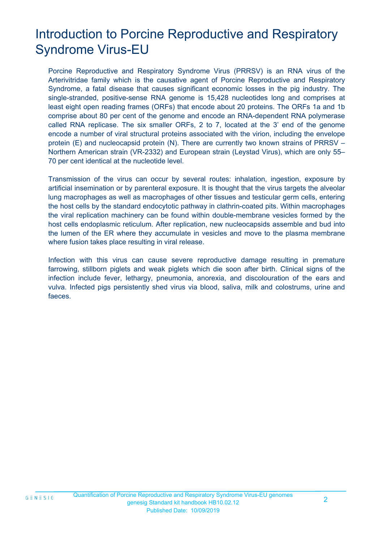# Introduction to Porcine Reproductive and Respiratory Syndrome Virus-EU

Porcine Reproductive and Respiratory Syndrome Virus (PRRSV) is an RNA virus of the Arterivitridae family which is the causative agent of Porcine Reproductive and Respiratory Syndrome, a fatal disease that causes significant economic losses in the pig industry. The single-stranded, positive-sense RNA genome is 15,428 nucleotides long and comprises at least eight open reading frames (ORFs) that encode about 20 proteins. The ORFs 1a and 1b comprise about 80 per cent of the genome and encode an RNA-dependent RNA polymerase called RNA replicase. The six smaller ORFs, 2 to 7, located at the 3' end of the genome encode a number of viral structural proteins associated with the virion, including the envelope protein (E) and nucleocapsid protein (N). There are currently two known strains of PRRSV – Northern American strain (VR-2332) and European strain (Leystad Virus), which are only 55– 70 per cent identical at the nucleotide level.

Transmission of the virus can occur by several routes: inhalation, ingestion, exposure by artificial insemination or by parenteral exposure. It is thought that the virus targets the alveolar lung macrophages as well as macrophages of other tissues and testicular germ cells, entering the host cells by the standard endocytotic pathway in clathrin-coated pits. Within macrophages the viral replication machinery can be found within double-membrane vesicles formed by the host cells endoplasmic reticulum. After replication, new nucleocapsids assemble and bud into the lumen of the ER where they accumulate in vesicles and move to the plasma membrane where fusion takes place resulting in viral release.

Infection with this virus can cause severe reproductive damage resulting in premature farrowing, stillborn piglets and weak piglets which die soon after birth. Clinical signs of the infection include fever, lethargy, pneumonia, anorexia, and discolouration of the ears and vulva. Infected pigs persistently shed virus via blood, saliva, milk and colostrums, urine and faeces.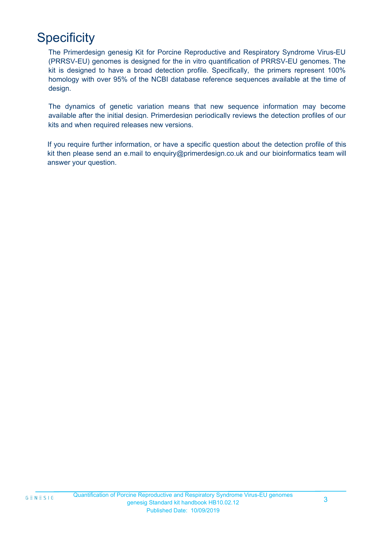# **Specificity**

The Primerdesign genesig Kit for Porcine Reproductive and Respiratory Syndrome Virus-EU (PRRSV-EU) genomes is designed for the in vitro quantification of PRRSV-EU genomes. The kit is designed to have a broad detection profile. Specifically, the primers represent 100% homology with over 95% of the NCBI database reference sequences available at the time of design.

kits and when required releases new versions. The dynamics of genetic variation means that new sequence information may become available after the initial design. Primerdesign periodically reviews the detection profiles of our

If you require further information, or have a specific question about the detection profile of this kit then please send an e.mail to enquiry@primerdesign.co.uk and our bioinformatics team will answer your question.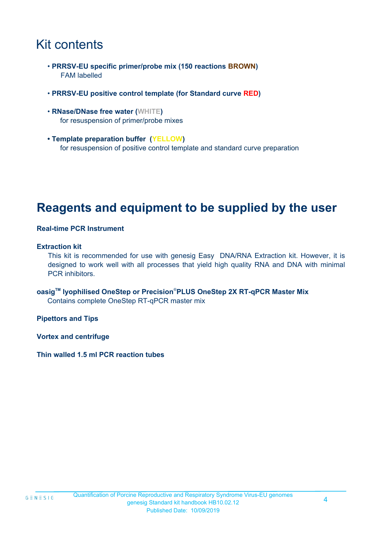# Kit contents

- **PRRSV-EU specific primer/probe mix (150 reactions BROWN)** FAM labelled
- **PRRSV-EU positive control template (for Standard curve RED)**
- **RNase/DNase free water (WHITE)** for resuspension of primer/probe mixes
- **Template preparation buffer (YELLOW)** for resuspension of positive control template and standard curve preparation

### **Reagents and equipment to be supplied by the user**

#### **Real-time PCR Instrument**

#### **Extraction kit**

This kit is recommended for use with genesig Easy DNA/RNA Extraction kit. However, it is designed to work well with all processes that yield high quality RNA and DNA with minimal PCR inhibitors.

**oasigTM lyophilised OneStep or Precision**®**PLUS OneStep 2X RT-qPCR Master Mix** Contains complete OneStep RT-qPCR master mix

**Pipettors and Tips**

**Vortex and centrifuge**

**Thin walled 1.5 ml PCR reaction tubes**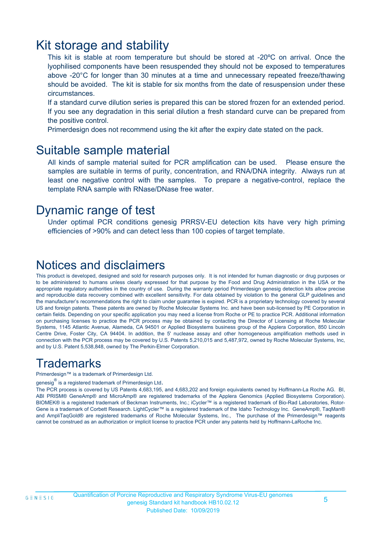### Kit storage and stability

This kit is stable at room temperature but should be stored at -20ºC on arrival. Once the lyophilised components have been resuspended they should not be exposed to temperatures above -20°C for longer than 30 minutes at a time and unnecessary repeated freeze/thawing should be avoided. The kit is stable for six months from the date of resuspension under these circumstances.

If a standard curve dilution series is prepared this can be stored frozen for an extended period. If you see any degradation in this serial dilution a fresh standard curve can be prepared from the positive control.

Primerdesign does not recommend using the kit after the expiry date stated on the pack.

### Suitable sample material

All kinds of sample material suited for PCR amplification can be used. Please ensure the samples are suitable in terms of purity, concentration, and RNA/DNA integrity. Always run at least one negative control with the samples. To prepare a negative-control, replace the template RNA sample with RNase/DNase free water.

### Dynamic range of test

Under optimal PCR conditions genesig PRRSV-EU detection kits have very high priming efficiencies of >90% and can detect less than 100 copies of target template.

### Notices and disclaimers

This product is developed, designed and sold for research purposes only. It is not intended for human diagnostic or drug purposes or to be administered to humans unless clearly expressed for that purpose by the Food and Drug Administration in the USA or the appropriate regulatory authorities in the country of use. During the warranty period Primerdesign genesig detection kits allow precise and reproducible data recovery combined with excellent sensitivity. For data obtained by violation to the general GLP guidelines and the manufacturer's recommendations the right to claim under guarantee is expired. PCR is a proprietary technology covered by several US and foreign patents. These patents are owned by Roche Molecular Systems Inc. and have been sub-licensed by PE Corporation in certain fields. Depending on your specific application you may need a license from Roche or PE to practice PCR. Additional information on purchasing licenses to practice the PCR process may be obtained by contacting the Director of Licensing at Roche Molecular Systems, 1145 Atlantic Avenue, Alameda, CA 94501 or Applied Biosystems business group of the Applera Corporation, 850 Lincoln Centre Drive, Foster City, CA 94404. In addition, the 5' nuclease assay and other homogeneous amplification methods used in connection with the PCR process may be covered by U.S. Patents 5,210,015 and 5,487,972, owned by Roche Molecular Systems, Inc, and by U.S. Patent 5,538,848, owned by The Perkin-Elmer Corporation.

### **Trademarks**

Primerdesign™ is a trademark of Primerdesign Ltd.

genesig $^\circledR$  is a registered trademark of Primerdesign Ltd.

The PCR process is covered by US Patents 4,683,195, and 4,683,202 and foreign equivalents owned by Hoffmann-La Roche AG. BI, ABI PRISM® GeneAmp® and MicroAmp® are registered trademarks of the Applera Genomics (Applied Biosystems Corporation). BIOMEK® is a registered trademark of Beckman Instruments, Inc.; iCycler™ is a registered trademark of Bio-Rad Laboratories, Rotor-Gene is a trademark of Corbett Research. LightCycler™ is a registered trademark of the Idaho Technology Inc. GeneAmp®, TaqMan® and AmpliTaqGold® are registered trademarks of Roche Molecular Systems, Inc., The purchase of the Primerdesign™ reagents cannot be construed as an authorization or implicit license to practice PCR under any patents held by Hoffmann-LaRoche Inc.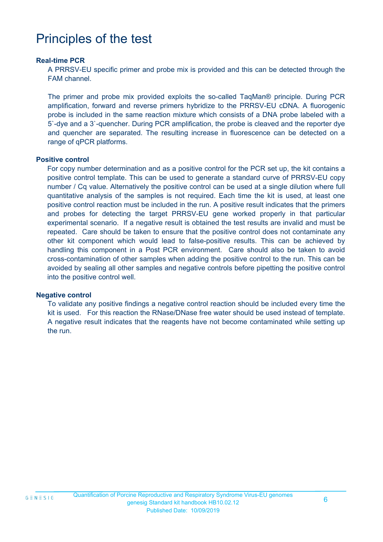# Principles of the test

#### **Real-time PCR**

A PRRSV-EU specific primer and probe mix is provided and this can be detected through the FAM channel.

The primer and probe mix provided exploits the so-called TaqMan® principle. During PCR amplification, forward and reverse primers hybridize to the PRRSV-EU cDNA. A fluorogenic probe is included in the same reaction mixture which consists of a DNA probe labeled with a 5`-dye and a 3`-quencher. During PCR amplification, the probe is cleaved and the reporter dye and quencher are separated. The resulting increase in fluorescence can be detected on a range of qPCR platforms.

#### **Positive control**

For copy number determination and as a positive control for the PCR set up, the kit contains a positive control template. This can be used to generate a standard curve of PRRSV-EU copy number / Cq value. Alternatively the positive control can be used at a single dilution where full quantitative analysis of the samples is not required. Each time the kit is used, at least one positive control reaction must be included in the run. A positive result indicates that the primers and probes for detecting the target PRRSV-EU gene worked properly in that particular experimental scenario. If a negative result is obtained the test results are invalid and must be repeated. Care should be taken to ensure that the positive control does not contaminate any other kit component which would lead to false-positive results. This can be achieved by handling this component in a Post PCR environment. Care should also be taken to avoid cross-contamination of other samples when adding the positive control to the run. This can be avoided by sealing all other samples and negative controls before pipetting the positive control into the positive control well.

#### **Negative control**

To validate any positive findings a negative control reaction should be included every time the kit is used. For this reaction the RNase/DNase free water should be used instead of template. A negative result indicates that the reagents have not become contaminated while setting up the run.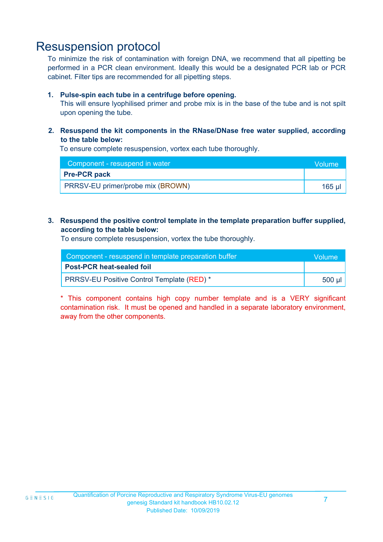### Resuspension protocol

To minimize the risk of contamination with foreign DNA, we recommend that all pipetting be performed in a PCR clean environment. Ideally this would be a designated PCR lab or PCR cabinet. Filter tips are recommended for all pipetting steps.

#### **1. Pulse-spin each tube in a centrifuge before opening.**

This will ensure lyophilised primer and probe mix is in the base of the tube and is not spilt upon opening the tube.

**2. Resuspend the kit components in the RNase/DNase free water supplied, according to the table below:**

To ensure complete resuspension, vortex each tube thoroughly.

| Component - resuspend in water    | <b>Volume</b> |
|-----------------------------------|---------------|
| <b>Pre-PCR pack</b>               |               |
| PRRSV-EU primer/probe mix (BROWN) | 165 u         |

#### **3. Resuspend the positive control template in the template preparation buffer supplied, according to the table below:**

To ensure complete resuspension, vortex the tube thoroughly.

| Component - resuspend in template preparation buffer | <b>Nolume</b> |
|------------------------------------------------------|---------------|
| <b>Post-PCR heat-sealed foil</b>                     |               |
| <b>PRRSV-EU Positive Control Template (RED) *</b>    | 500 µl        |

\* This component contains high copy number template and is a VERY significant contamination risk. It must be opened and handled in a separate laboratory environment, away from the other components.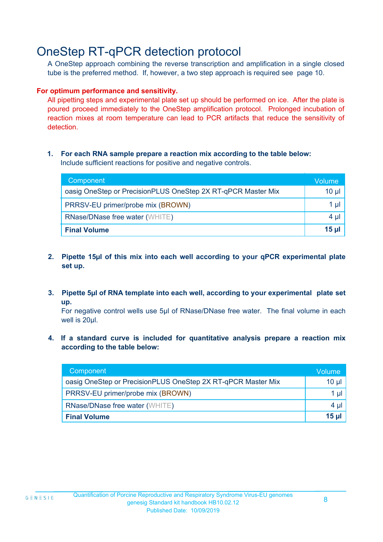### OneStep RT-qPCR detection protocol

A OneStep approach combining the reverse transcription and amplification in a single closed tube is the preferred method. If, however, a two step approach is required see page 10.

#### **For optimum performance and sensitivity.**

All pipetting steps and experimental plate set up should be performed on ice. After the plate is poured proceed immediately to the OneStep amplification protocol. Prolonged incubation of reaction mixes at room temperature can lead to PCR artifacts that reduce the sensitivity of detection.

#### **1. For each RNA sample prepare a reaction mix according to the table below:** Include sufficient reactions for positive and negative controls.

| Component                                                    | Volume       |
|--------------------------------------------------------------|--------------|
| oasig OneStep or PrecisionPLUS OneStep 2X RT-qPCR Master Mix | $10 \mu$     |
| PRRSV-EU primer/probe mix (BROWN)                            | 1 µl         |
| <b>RNase/DNase free water (WHITE)</b>                        | $4 \mu$      |
| <b>Final Volume</b>                                          | <u>15 µl</u> |

- **2. Pipette 15µl of this mix into each well according to your qPCR experimental plate set up.**
- **3. Pipette 5µl of RNA template into each well, according to your experimental plate set up.**

For negative control wells use 5µl of RNase/DNase free water. The final volume in each well is 20ul.

**4. If a standard curve is included for quantitative analysis prepare a reaction mix according to the table below:**

| Component                                                    | Volume  |
|--------------------------------------------------------------|---------|
| oasig OneStep or PrecisionPLUS OneStep 2X RT-qPCR Master Mix | 10 µl   |
| PRRSV-EU primer/probe mix (BROWN)                            | 1 µI    |
| RNase/DNase free water (WHITE)                               | $4 \mu$ |
| <b>Final Volume</b>                                          | $15$ µ  |

8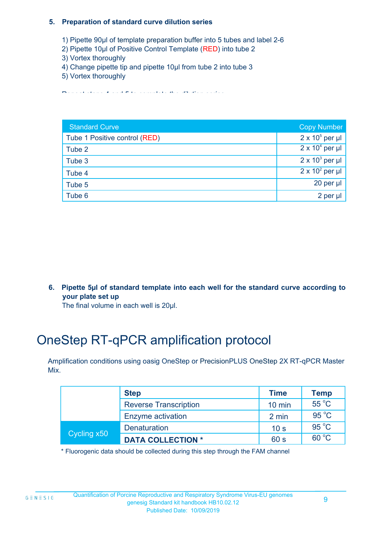#### **5. Preparation of standard curve dilution series**

- 1) Pipette 90µl of template preparation buffer into 5 tubes and label 2-6
- 2) Pipette 10µl of Positive Control Template (RED) into tube 2
- 3) Vortex thoroughly
- 4) Change pipette tip and pipette 10µl from tube 2 into tube 3
- 5) Vortex thoroughly

Repeat steps 4 and 5 to complete the dilution series

| <b>Standard Curve</b>         | <b>Copy Number</b>     |
|-------------------------------|------------------------|
| Tube 1 Positive control (RED) | $2 \times 10^5$ per µl |
| Tube 2                        | $2 \times 10^4$ per µl |
| Tube 3                        | $2 \times 10^3$ per µl |
| Tube 4                        | $2 \times 10^2$ per µl |
| Tube 5                        | $20$ per $\mu$         |
| Tube 6                        | 2 per ul               |

**6. Pipette 5µl of standard template into each well for the standard curve according to your plate set up**

The final volume in each well is 20µl.

# OneStep RT-qPCR amplification protocol

Amplification conditions using oasig OneStep or PrecisionPLUS OneStep 2X RT-qPCR Master Mix.

|             | <b>Step</b>                  | <b>Time</b>     | <b>Temp</b>    |
|-------------|------------------------------|-----------------|----------------|
|             | <b>Reverse Transcription</b> | $10$ min        | $55^{\circ}$ C |
|             | Enzyme activation            | 2 min           | $95^{\circ}$ C |
| Cycling x50 | Denaturation                 | 10 <sub>s</sub> | $95^{\circ}$ C |
|             | <b>DATA COLLECTION *</b>     | 60 s            | $60^{\circ}$ C |

\* Fluorogenic data should be collected during this step through the FAM channel